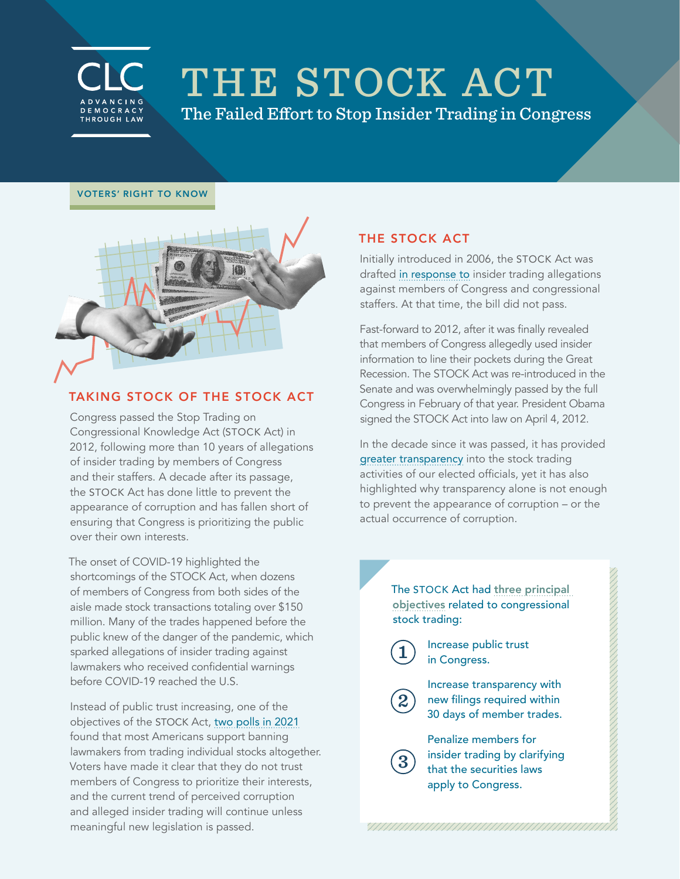

# THE STOCK ACT

The Failed Effort to Stop Insider Trading in Congress

#### VOTERS' RIGHT TO KNOW



# TAKING STOCK OF THE STOCK ACT

Congress passed the Stop Trading on Congressional Knowledge Act (STOCK Act) in 2012, following more than 10 years of allegations of insider trading by members of Congress and their staffers. A decade after its passage, the STOCK Act has done little to prevent the appearance of corruption and has fallen short of ensuring that Congress is prioritizing the public over their own interests.

The onset of COVID-19 highlighted the shortcomings of the STOCK Act, when dozens of members of Congress from both sides of the aisle made stock transactions totaling over \$150 million. Many of the trades happened before the public knew of the danger of the pandemic, which sparked allegations of insider trading against lawmakers who received confidential warnings before COVID-19 reached the U.S.

Instead of public trust increasing, one of the objectives of the STOCK Act, [two polls in 2021](https://campaignlegal.org/document/summary-poll-findings-ethics-reform) found that most Americans support banning lawmakers from trading individual stocks altogether. Voters have made it clear that they do not trust members of Congress to prioritize their interests, and the current trend of perceived corruption and alleged insider trading will continue unless meaningful new legislation is passed.

## THE STOCK ACT

Initially introduced in 2006, the STOCK Act was drafted [in response to](https://www.wsj.com/articles/SB114351554851509761) insider trading allegations against members of Congress and congressional staffers. At that time, the bill did not pass.

Fast-forward to 2012, after it was finally revealed that members of Congress allegedly used insider information to line their pockets during the Great Recession. The STOCK Act was re-introduced in the Senate and was overwhelmingly passed by the full Congress in February of that year. President Obama signed the STOCK Act into law on April 4, 2012.

In the decade since it was passed, it has provided [greater transparency](https://campaignlegal.org/document/congressional-stock-trading-numbers-117th-congress) into the stock trading activities of our elected officials, yet it has also highlighted why transparency alone is not enough to prevent the appearance of corruption – or the actual occurrence of corruption.

> The STOCK Act had three [principal](https://www.congress.gov/112/plaws/publ105/PLAW-112publ105.htm)  [objectives](https://www.congress.gov/112/plaws/publ105/PLAW-112publ105.htm) related to congressional stock trading:

Increase public trust in Congress. **1**

**2**

- Increase transparency with new filings required within 30 days of member trades.
- Penalize members for insider trading by clarifying that the securities laws apply to Congress. **3**